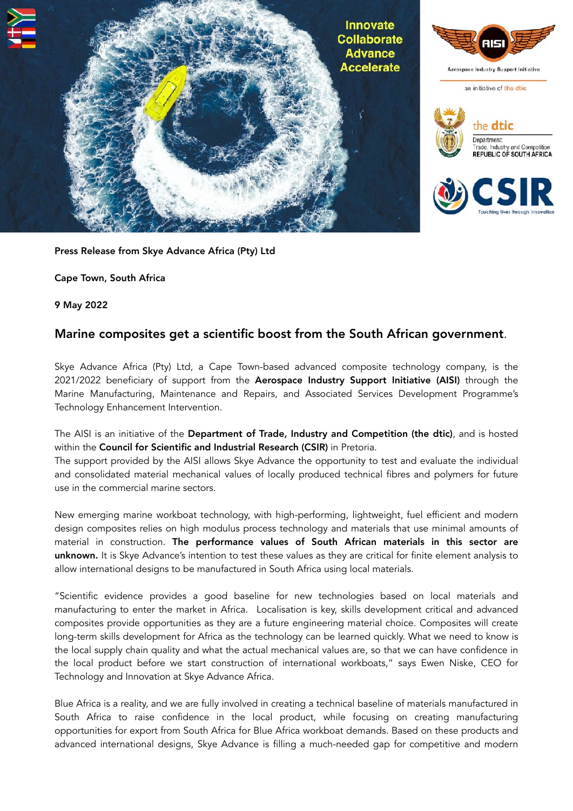

Press Release from Skye Advance Africa (Pty) Ltd

Cape Town, South Africa

9 May 2022

## Marine composites get a scientific boost from the South African government.

Skye Advance Africa (Pty) Ltd, a Cape Town-based advanced composite technology company, is the 2021/2022 beneficiary of support from the Aerospace Industry Support Initiative (AISI) through the Marine Manufacturing, Maintenance and Repairs, and Associated Services Development Programme's Technology Enhancement Intervention.

The AISI is an initiative of the Department of Trade, Industry and Competition (the dtic), and is hosted within the Council for Scientific and Industrial Research (CSIR) in Pretoria.

The support provided by the AISI allows Skye Advance the opportunity to test and evaluate the individual and consolidated material mechanical values of locally produced technical fibres and polymers for future use in the commercial marine sectors.

New emerging marine workboat technology, with high-performing, lightweight, fuel efficient and modern design composites relies on high modulus process technology and materials that use minimal amounts of material in construction. The performance values of South African materials in this sector are unknown. It is Skye Advance's intention to test these values as they are critical for finite element analysis to allow international designs to be manufactured in South Africa using local materials.

"Scientific evidence provides a good baseline for new technologies based on local materials and manufacturing to enter the market in Africa. Localisation is key, skills development critical and advanced composites provide opportunities as they are a future engineering material choice. Composites will create long-term skills development for Africa as the technology can be learned quickly. What we need to know is the local supply chain quality and what the actual mechanical values are, so that we can have confidence in the local product before we start construction of international workboats," says Ewen Niske, CEO for Technology and Innovation at Skye Advance Africa.

Blue Africa is a reality, and we are fully involved in creating a technical baseline of materials manufactured in South Africa to raise confidence in the local product, while focusing on creating manufacturing opportunities for export from South Africa for Blue Africa workboat demands. Based on these products and advanced international designs, Skye Advance is filling a much-needed gap for competitive and modern